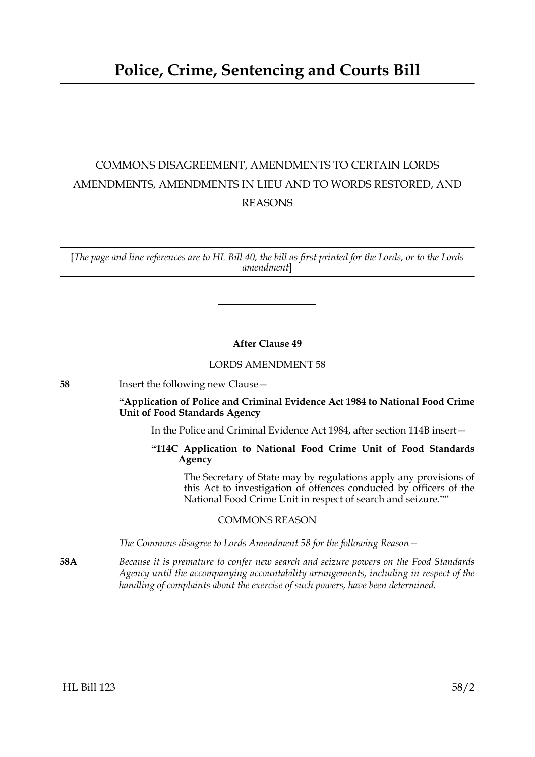# COMMONS DISAGREEMENT, AMENDMENTS TO CERTAIN LORDS AMENDMENTS, AMENDMENTS IN LIEU AND TO WORDS RESTORED, AND REASONS

[*The page and line references are to HL Bill 40, the bill as first printed for the Lords, or to the Lords amendment*]

# **After Clause 49**

# LORDS AMENDMENT 58

**58** Insert the following new Clause—

# **"Application of Police and Criminal Evidence Act 1984 to National Food Crime Unit of Food Standards Agency**

In the Police and Criminal Evidence Act 1984, after section 114B insert—

# **"114C Application to National Food Crime Unit of Food Standards Agency**

 The Secretary of State may by regulations apply any provisions of this Act to investigation of offences conducted by officers of the National Food Crime Unit in respect of search and seizure.""

# COMMONS REASON

*The Commons disagree to Lords Amendment 58 for the following Reason—*

**58A** *Because it is premature to confer new search and seizure powers on the Food Standards Agency until the accompanying accountability arrangements, including in respect of the handling of complaints about the exercise of such powers, have been determined.*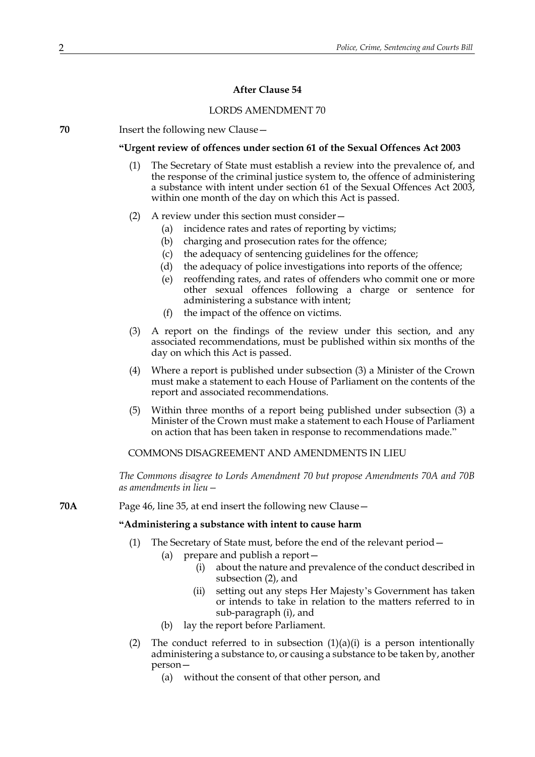# **After Clause 54**

### LORDS AMENDMENT 70

**70** Insert the following new Clause—

#### **"Urgent review of offences under section 61 of the Sexual Offences Act 2003**

- (1) The Secretary of State must establish a review into the prevalence of, and the response of the criminal justice system to, the offence of administering a substance with intent under section 61 of the Sexual Offences Act 2003, within one month of the day on which this Act is passed.
- (2) A review under this section must consider—
	- (a) incidence rates and rates of reporting by victims;
	- (b) charging and prosecution rates for the offence;
	- (c) the adequacy of sentencing guidelines for the offence;
	- (d) the adequacy of police investigations into reports of the offence;
	- (e) reoffending rates, and rates of offenders who commit one or more other sexual offences following a charge or sentence for administering a substance with intent;
	- (f) the impact of the offence on victims.
- (3) A report on the findings of the review under this section, and any associated recommendations, must be published within six months of the day on which this Act is passed.
- (4) Where a report is published under subsection (3) a Minister of the Crown must make a statement to each House of Parliament on the contents of the report and associated recommendations.
- (5) Within three months of a report being published under subsection (3) a Minister of the Crown must make a statement to each House of Parliament on action that has been taken in response to recommendations made."

COMMONS DISAGREEMENT AND AMENDMENTS IN LIEU

*The Commons disagree to Lords Amendment 70 but propose Amendments 70A and 70B as amendments in lieu—*

**70A** Page 46, line 35, at end insert the following new Clause—

#### **"Administering a substance with intent to cause harm**

- (1) The Secretary of State must, before the end of the relevant period—
	- (a) prepare and publish a report—
		- (i) about the nature and prevalence of the conduct described in subsection (2), and
		- (ii) setting out any steps Her Majesty's Government has taken or intends to take in relation to the matters referred to in sub-paragraph (i), and
	- (b) lay the report before Parliament.
- (2) The conduct referred to in subsection  $(1)(a)(i)$  is a person intentionally administering a substance to, or causing a substance to be taken by, another person—
	- (a) without the consent of that other person, and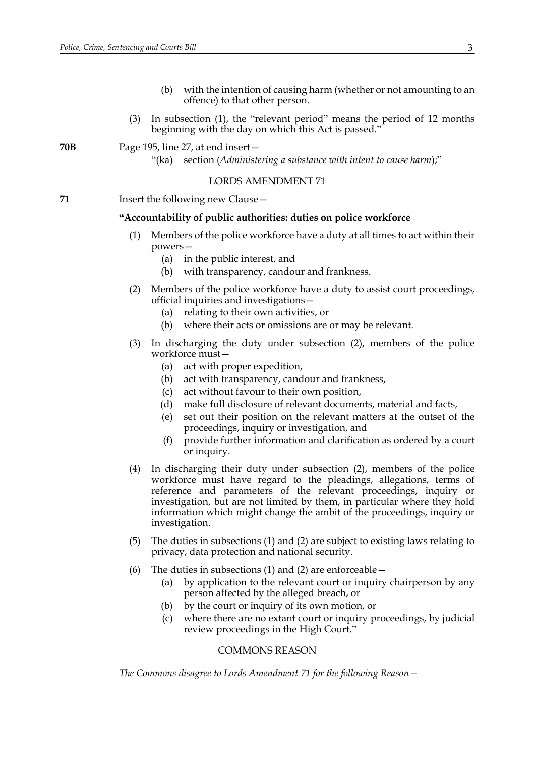- (b) with the intention of causing harm (whether or not amounting to an offence) to that other person.
- (3) In subsection (1), the "relevant period" means the period of 12 months beginning with the day on which this Act is passed.'

**70B** Page 195, line 27, at end insert—

"(ka) section (*Administering a substance with intent to cause harm*);"

## LORDS AMENDMENT 71

**71** Insert the following new Clause –

## **"Accountability of public authorities: duties on police workforce**

- (1) Members of the police workforce have a duty at all times to act within their powers—
	- (a) in the public interest, and
	- (b) with transparency, candour and frankness.
- (2) Members of the police workforce have a duty to assist court proceedings, official inquiries and investigations—
	- (a) relating to their own activities, or
	- (b) where their acts or omissions are or may be relevant.
- (3) In discharging the duty under subsection (2), members of the police workforce must—
	- (a) act with proper expedition,
	- (b) act with transparency, candour and frankness,
	- (c) act without favour to their own position,
	- (d) make full disclosure of relevant documents, material and facts,
	- (e) set out their position on the relevant matters at the outset of the proceedings, inquiry or investigation, and
	- (f) provide further information and clarification as ordered by a court or inquiry.
- (4) In discharging their duty under subsection (2), members of the police workforce must have regard to the pleadings, allegations, terms of reference and parameters of the relevant proceedings, inquiry or investigation, but are not limited by them, in particular where they hold information which might change the ambit of the proceedings, inquiry or investigation.
- (5) The duties in subsections (1) and (2) are subject to existing laws relating to privacy, data protection and national security.
- (6) The duties in subsections (1) and (2) are enforceable  $-$ 
	- (a) by application to the relevant court or inquiry chairperson by any person affected by the alleged breach, or
	- (b) by the court or inquiry of its own motion, or
	- (c) where there are no extant court or inquiry proceedings, by judicial review proceedings in the High Court."

#### COMMONS REASON

*The Commons disagree to Lords Amendment 71 for the following Reason—*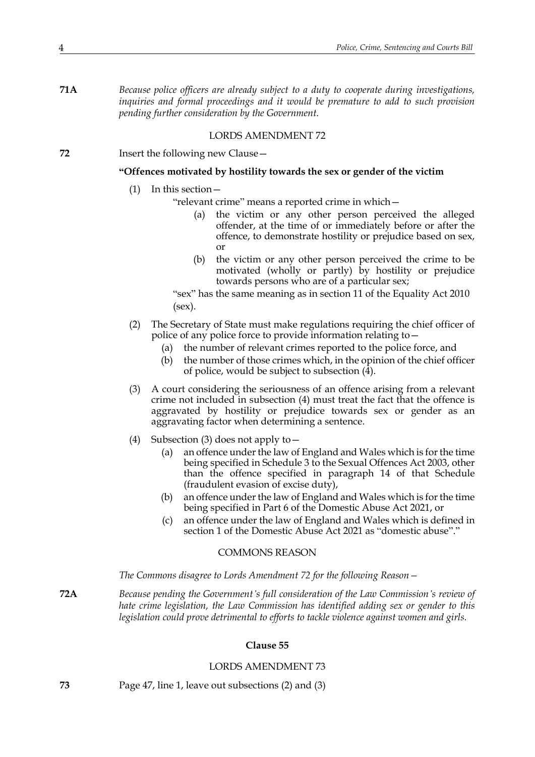**71A** *Because police officers are already subject to a duty to cooperate during investigations, inquiries and formal proceedings and it would be premature to add to such provision pending further consideration by the Government.*

#### LORDS AMENDMENT 72

**72** Insert the following new Clause—

## **"Offences motivated by hostility towards the sex or gender of the victim**

- (1) In this section—
	- "relevant crime" means a reported crime in which—
		- (a) the victim or any other person perceived the alleged offender, at the time of or immediately before or after the offence, to demonstrate hostility or prejudice based on sex, or
		- (b) the victim or any other person perceived the crime to be motivated (wholly or partly) by hostility or prejudice towards persons who are of a particular sex;

"sex" has the same meaning as in section 11 of the Equality Act 2010 (sex).

- (2) The Secretary of State must make regulations requiring the chief officer of police of any police force to provide information relating to—
	- (a) the number of relevant crimes reported to the police force, and
	- (b) the number of those crimes which, in the opinion of the chief officer of police, would be subject to subsection  $(\overline{4})$ .
- (3) A court considering the seriousness of an offence arising from a relevant crime not included in subsection (4) must treat the fact that the offence is aggravated by hostility or prejudice towards sex or gender as an aggravating factor when determining a sentence.
- (4) Subsection (3) does not apply to—
	- (a) an offence under the law of England and Wales which is for the time being specified in Schedule 3 to the Sexual Offences Act 2003, other than the offence specified in paragraph 14 of that Schedule (fraudulent evasion of excise duty),
	- (b) an offence under the law of England and Wales which is for the time being specified in Part 6 of the Domestic Abuse Act 2021, or
	- (c) an offence under the law of England and Wales which is defined in section 1 of the Domestic Abuse Act 2021 as "domestic abuse"."

# COMMONS REASON

*The Commons disagree to Lords Amendment 72 for the following Reason—*

**72A** *Because pending the Government's full consideration of the Law Commission's review of hate crime legislation, the Law Commission has identified adding sex or gender to this legislation could prove detrimental to efforts to tackle violence against women and girls.*

#### **Clause 55**

#### LORDS AMENDMENT 73

**73** Page 47, line 1, leave out subsections (2) and (3)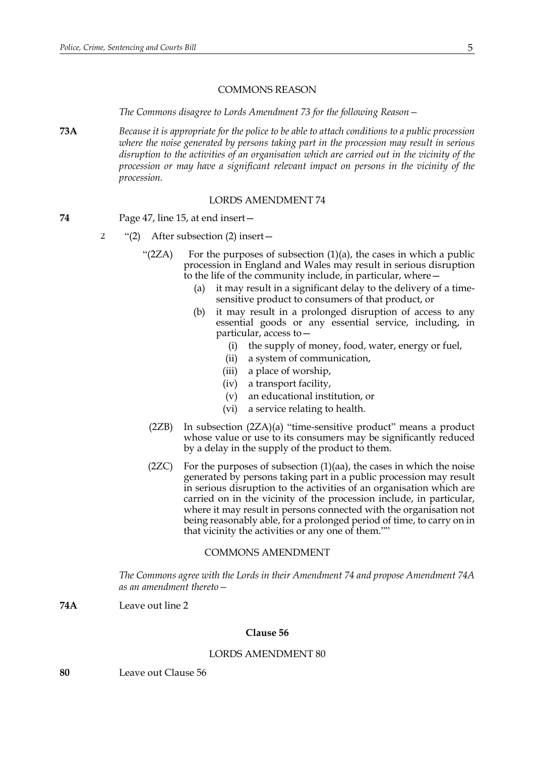#### COMMONS REASON

*The Commons disagree to Lords Amendment 73 for the following Reason—*

**73A** *Because it is appropriate for the police to be able to attach conditions to a public procession where the noise generated by persons taking part in the procession may result in serious disruption to the activities of an organisation which are carried out in the vicinity of the procession or may have a significant relevant impact on persons in the vicinity of the procession.*

## LORDS AMENDMENT 74

- **74** Page 47, line 15, at end insert—
	- "(2) After subsection (2) insert— 2
		- "(2ZA) For the purposes of subsection  $(1)(a)$ , the cases in which a public procession in England and Wales may result in serious disruption to the life of the community include, in particular, where—
			- (a) it may result in a significant delay to the delivery of a timesensitive product to consumers of that product, or
			- (b) it may result in a prolonged disruption of access to any essential goods or any essential service, including, in particular, access to—
				- (i) the supply of money, food, water, energy or fuel,
				- (ii) a system of communication,
				- (iii) a place of worship,
				- (iv) a transport facility,
				- (v) an educational institution, or
				- (vi) a service relating to health.
			- (2ZB) In subsection (2ZA)(a) "time-sensitive product" means a product whose value or use to its consumers may be significantly reduced by a delay in the supply of the product to them.
			- (2ZC) For the purposes of subsection  $(1)(aa)$ , the cases in which the noise generated by persons taking part in a public procession may result in serious disruption to the activities of an organisation which are carried on in the vicinity of the procession include, in particular, where it may result in persons connected with the organisation not being reasonably able, for a prolonged period of time, to carry on in that vicinity the activities or any one of them.""

#### COMMONS AMENDMENT

*The Commons agree with the Lords in their Amendment 74 and propose Amendment 74A as an amendment thereto—*

**74A** Leave out line 2

# **Clause 56**

# LORDS AMENDMENT 80

**80** Leave out Clause 56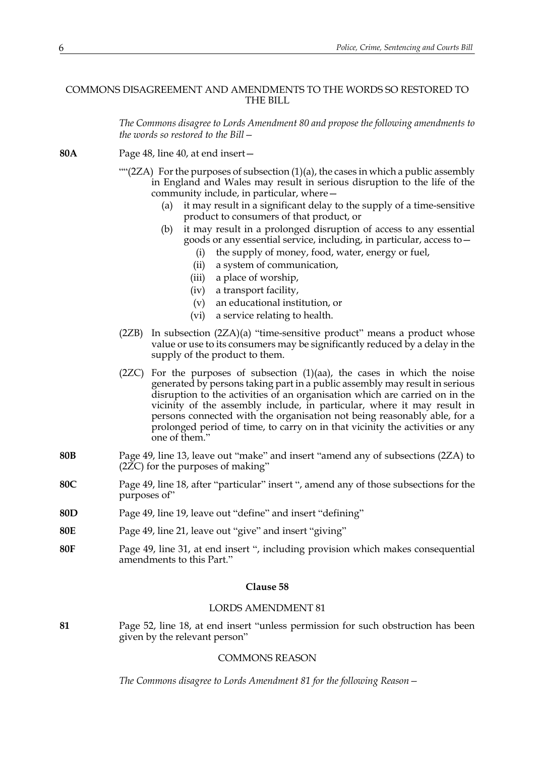# COMMONS DISAGREEMENT AND AMENDMENTS TO THE WORDS SO RESTORED TO THE BILL

*The Commons disagree to Lords Amendment 80 and propose the following amendments to the words so restored to the Bill—*

**80A** Page 48, line 40, at end insert— "" $(2ZA)$  For the purposes of subsection  $(1)(a)$ , the cases in which a public assembly in England and Wales may result in serious disruption to the life of the community include, in particular, where— (a) it may result in a significant delay to the supply of a time-sensitive product to consumers of that product, or (b) it may result in a prolonged disruption of access to any essential goods or any essential service, including, in particular, access to— (i) the supply of money, food, water, energy or fuel, (ii) a system of communication, (iii) a place of worship, (iv) a transport facility, (v) an educational institution, or (vi) a service relating to health. (2ZB) In subsection (2ZA)(a) "time-sensitive product" means a product whose value or use to its consumers may be significantly reduced by a delay in the supply of the product to them.  $(2ZC)$  For the purposes of subsection  $(1)(aa)$ , the cases in which the noise generated by persons taking part in a public assembly may result in serious disruption to the activities of an organisation which are carried on in the vicinity of the assembly include, in particular, where it may result in persons connected with the organisation not being reasonably able, for a prolonged period of time, to carry on in that vicinity the activities or any one of them." **80B** Page 49, line 13, leave out "make" and insert "amend any of subsections (2ZA) to (2ZC) for the purposes of making" **80C** Page 49, line 18, after "particular" insert ", amend any of those subsections for the purposes of" **80D** Page 49, line 19, leave out "define" and insert "defining" **80E** Page 49, line 21, leave out "give" and insert "giving" **80F** Page 49, line 31, at end insert ", including provision which makes consequential amendments to this Part." **Clause 58**

# LORDS AMENDMENT 81

**81** Page 52, line 18, at end insert "unless permission for such obstruction has been given by the relevant person"

# COMMONS REASON

*The Commons disagree to Lords Amendment 81 for the following Reason—*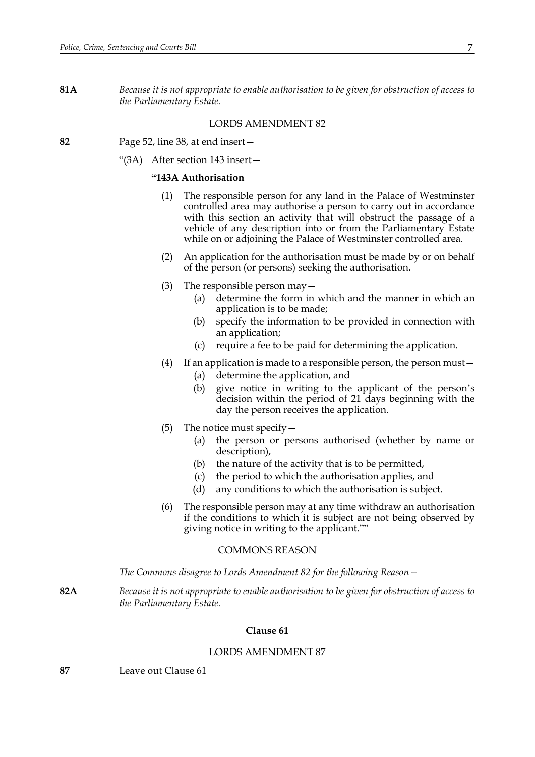**81A** *Because it is not appropriate to enable authorisation to be given for obstruction of access to the Parliamentary Estate.*

# LORDS AMENDMENT 82

- **82** Page 52, line 38, at end insert—
	- "(3A) After section 143 insert—

## **"143A Authorisation**

- (1) The responsible person for any land in the Palace of Westminster controlled area may authorise a person to carry out in accordance with this section an activity that will obstruct the passage of a vehicle of any description into or from the Parliamentary Estate while on or adjoining the Palace of Westminster controlled area.
- (2) An application for the authorisation must be made by or on behalf of the person (or persons) seeking the authorisation.
- (3) The responsible person may  $-$ 
	- (a) determine the form in which and the manner in which an application is to be made;
	- (b) specify the information to be provided in connection with an application;
	- (c) require a fee to be paid for determining the application.
- (4) If an application is made to a responsible person, the person must  $-$ 
	- (a) determine the application, and
	- (b) give notice in writing to the applicant of the person's decision within the period of 21 days beginning with the day the person receives the application.
- (5) The notice must specify—
	- (a) the person or persons authorised (whether by name or description),
	- (b) the nature of the activity that is to be permitted,
	- (c) the period to which the authorisation applies, and
	- (d) any conditions to which the authorisation is subject.
- (6) The responsible person may at any time withdraw an authorisation if the conditions to which it is subject are not being observed by giving notice in writing to the applicant.""

#### COMMONS REASON

*The Commons disagree to Lords Amendment 82 for the following Reason—*

**82A** *Because it is not appropriate to enable authorisation to be given for obstruction of access to the Parliamentary Estate.*

# **Clause 61**

# LORDS AMENDMENT 87

**87** Leave out Clause 61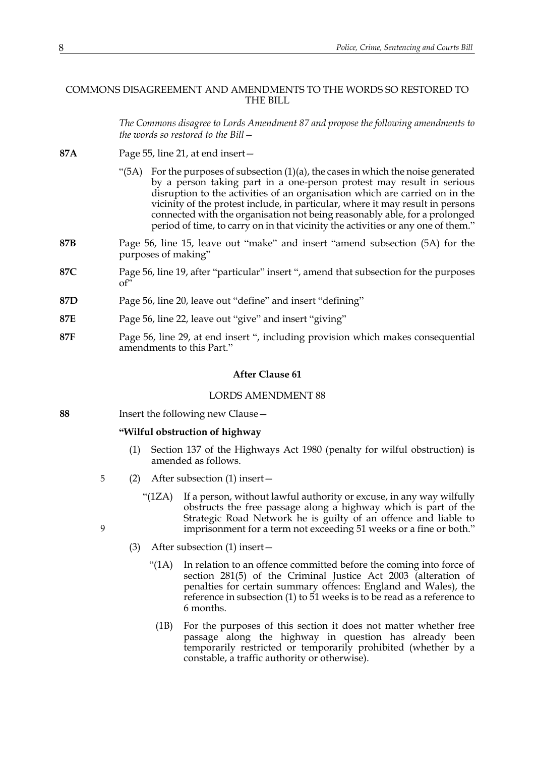# COMMONS DISAGREEMENT AND AMENDMENTS TO THE WORDS SO RESTORED TO THE BILL

*The Commons disagree to Lords Amendment 87 and propose the following amendments to the words so restored to the Bill—*

- **87A** Page 55, line 21, at end insert—
	- " $(5A)$  For the purposes of subsection  $(1)(a)$ , the cases in which the noise generated by a person taking part in a one-person protest may result in serious disruption to the activities of an organisation which are carried on in the vicinity of the protest include, in particular, where it may result in persons connected with the organisation not being reasonably able, for a prolonged period of time, to carry on in that vicinity the activities or any one of them."
- **87B** Page 56, line 15, leave out "make" and insert "amend subsection (5A) for the purposes of making"
- **87C** Page 56, line 19, after "particular" insert ", amend that subsection for the purposes of"
- **87D** Page 56, line 20, leave out "define" and insert "defining"
- **87E** Page 56, line 22, leave out "give" and insert "giving"
- **87F** Page 56, line 29, at end insert ", including provision which makes consequential amendments to this Part."

## **After Clause 61**

#### LORDS AMENDMENT 88

**88** Insert the following new Clause—

<span id="page-7-0"></span>9

# **"Wilful obstruction of highway**

- (1) Section 137 of the Highways Act 1980 (penalty for wilful obstruction) is amended as follows.
- (2) After subsection (1) insert— 5
	- "(1ZA) If a person, without lawful authority or excuse, in any way wilfully obstructs the free passage along a highway which is part of the Strategic Road Network he is guilty of an offence and liable to imprisonment for a term not exceeding 51 weeks or a fine or both."
	- (3) After subsection (1) insert—
		- "(1A) In relation to an offence committed before the coming into force of section 281(5) of the Criminal Justice Act 2003 (alteration of penalties for certain summary offences: England and Wales), the reference in subsection (1) to 51 weeks is to be read as a reference to 6 months.
			- (1B) For the purposes of this section it does not matter whether free passage along the highway in question has already been temporarily restricted or temporarily prohibited (whether by a constable, a traffic authority or otherwise).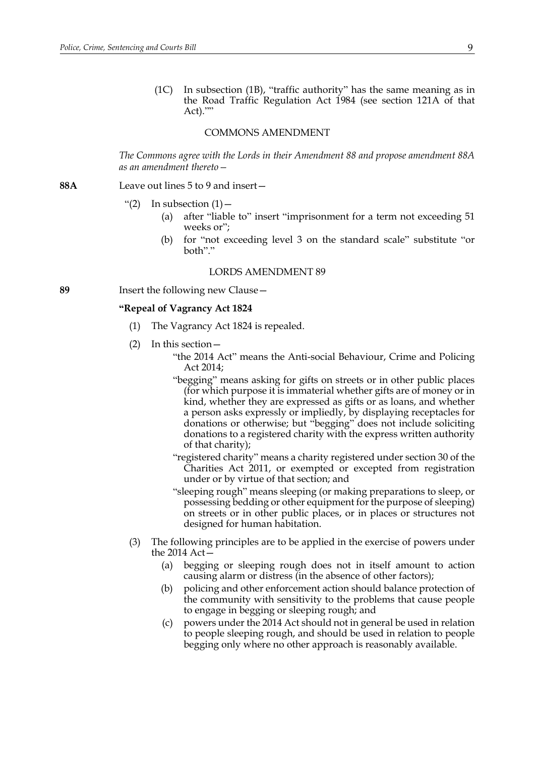(1C) In subsection [\(1B\)](#page-7-0), "traffic authority" has the same meaning as in the Road Traffic Regulation Act 1984 (see section 121A of that Act).""

## COMMONS AMENDMENT

*The Commons agree with the Lords in their Amendment 88 and propose amendment 88A as an amendment thereto—*

## **88A** Leave out lines 5 to 9 and insert—

- "(2) In subsection  $(1)$  -
	- (a) after "liable to" insert "imprisonment for a term not exceeding 51 weeks or";
	- (b) for "not exceeding level 3 on the standard scale" substitute "or both"."

#### LORDS AMENDMENT 89

**89** Insert the following new Clause—

#### **"Repeal of Vagrancy Act 1824**

- (1) The Vagrancy Act 1824 is repealed.
- (2) In this section—
	- "the 2014 Act" means the Anti-social Behaviour, Crime and Policing Act 2014;
	- "begging" means asking for gifts on streets or in other public places (for which purpose it is immaterial whether gifts are of money or in kind, whether they are expressed as gifts or as loans, and whether a person asks expressly or impliedly, by displaying receptacles for donations or otherwise; but "begging" does not include soliciting donations to a registered charity with the express written authority of that charity);
	- "registered charity" means a charity registered under section 30 of the Charities Act 2011, or exempted or excepted from registration under or by virtue of that section; and
	- "sleeping rough" means sleeping (or making preparations to sleep, or possessing bedding or other equipment for the purpose of sleeping) on streets or in other public places, or in places or structures not designed for human habitation.
- (3) The following principles are to be applied in the exercise of powers under the 2014 Act—
	- (a) begging or sleeping rough does not in itself amount to action causing alarm or distress (in the absence of other factors);
	- (b) policing and other enforcement action should balance protection of the community with sensitivity to the problems that cause people to engage in begging or sleeping rough; and
	- (c) powers under the 2014 Act should not in general be used in relation to people sleeping rough, and should be used in relation to people begging only where no other approach is reasonably available.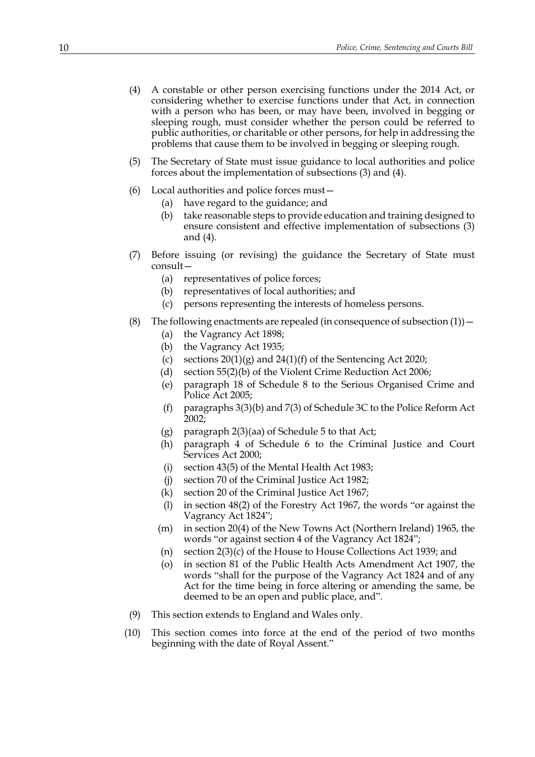- (4) A constable or other person exercising functions under the 2014 Act, or considering whether to exercise functions under that Act, in connection with a person who has been, or may have been, involved in begging or sleeping rough, must consider whether the person could be referred to public authorities, or charitable or other persons, for help in addressing the problems that cause them to be involved in begging or sleeping rough.
- (5) The Secretary of State must issue guidance to local authorities and police forces about the implementation of subsections (3) and (4).
- (6) Local authorities and police forces must—
	- (a) have regard to the guidance; and
	- (b) take reasonable steps to provide education and training designed to ensure consistent and effective implementation of subsections (3) and (4).
- (7) Before issuing (or revising) the guidance the Secretary of State must consult—
	- (a) representatives of police forces;
	- (b) representatives of local authorities; and
	- (c) persons representing the interests of homeless persons.
- (8) The following enactments are repealed (in consequence of subsection  $(1)$ )
	- (a) the Vagrancy Act 1898;
	- (b) the Vagrancy Act 1935;
	- (c) sections  $20(1)(g)$  and  $24(1)(f)$  of the Sentencing Act 2020;
	- (d) section 55(2)(b) of the Violent Crime Reduction Act 2006;
	- (e) paragraph 18 of Schedule 8 to the Serious Organised Crime and Police Act 2005;
	- (f) paragraphs 3(3)(b) and 7(3) of Schedule 3C to the Police Reform Act 2002;
	- (g) paragraph 2(3)(aa) of Schedule 5 to that Act;
	- (h) paragraph 4 of Schedule 6 to the Criminal Justice and Court Services Act 2000;
	- (i) section 43(5) of the Mental Health Act 1983;
	- (j) section 70 of the Criminal Justice Act 1982;
	- (k) section 20 of the Criminal Justice Act 1967;
	- (l) in section 48(2) of the Forestry Act 1967, the words "or against the Vagrancy Act 1824";
	- (m) in section 20(4) of the New Towns Act (Northern Ireland) 1965, the words "or against section 4 of the Vagrancy Act 1824";
	- (n) section 2(3)(c) of the House to House Collections Act 1939; and
	- (o) in section 81 of the Public Health Acts Amendment Act 1907, the words "shall for the purpose of the Vagrancy Act 1824 and of any Act for the time being in force altering or amending the same, be deemed to be an open and public place, and".
- (9) This section extends to England and Wales only.
- (10) This section comes into force at the end of the period of two months beginning with the date of Royal Assent."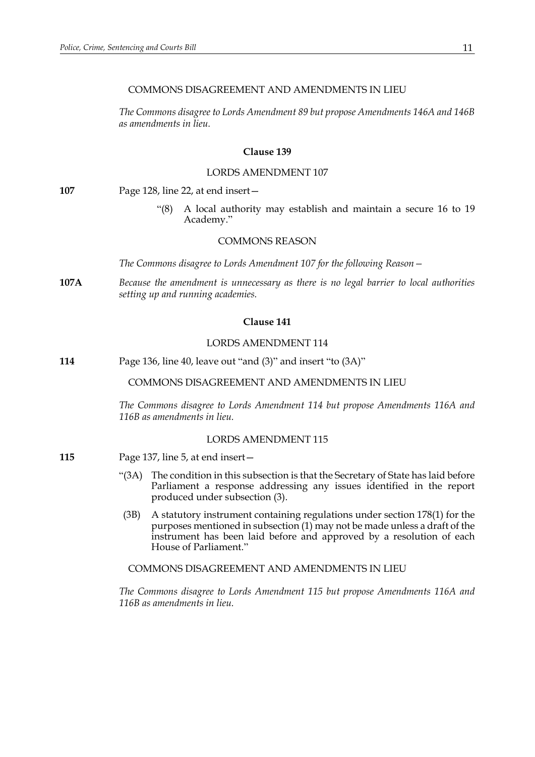# COMMONS DISAGREEMENT AND AMENDMENTS IN LIEU

*The Commons disagree to Lords Amendment 89 but propose Amendments 146A and 146B as amendments in lieu.*

# **Clause 139**

# LORDS AMENDMENT 107

**107** Page 128, line 22, at end insert—

A local authority may establish and maintain a secure 16 to 19 Academy."

# COMMONS REASON

*The Commons disagree to Lords Amendment 107 for the following Reason—*

**107A** *Because the amendment is unnecessary as there is no legal barrier to local authorities setting up and running academies.*

## **Clause 141**

# LORDS AMENDMENT 114

**114** Page 136, line 40, leave out "and (3)" and insert "to (3A)"

# COMMONS DISAGREEMENT AND AMENDMENTS IN LIEU

*The Commons disagree to Lords Amendment 114 but propose Amendments 116A and 116B as amendments in lieu.*

# LORDS AMENDMENT 115

- **115** Page 137, line 5, at end insert—
	- "(3A) The condition in this subsection is that the Secretary of State has laid before Parliament a response addressing any issues identified in the report produced under subsection (3).
	- (3B) A statutory instrument containing regulations under section 178(1) for the purposes mentioned in subsection (1) may not be made unless a draft of the instrument has been laid before and approved by a resolution of each House of Parliament."

COMMONS DISAGREEMENT AND AMENDMENTS IN LIEU

*The Commons disagree to Lords Amendment 115 but propose Amendments 116A and 116B as amendments in lieu.*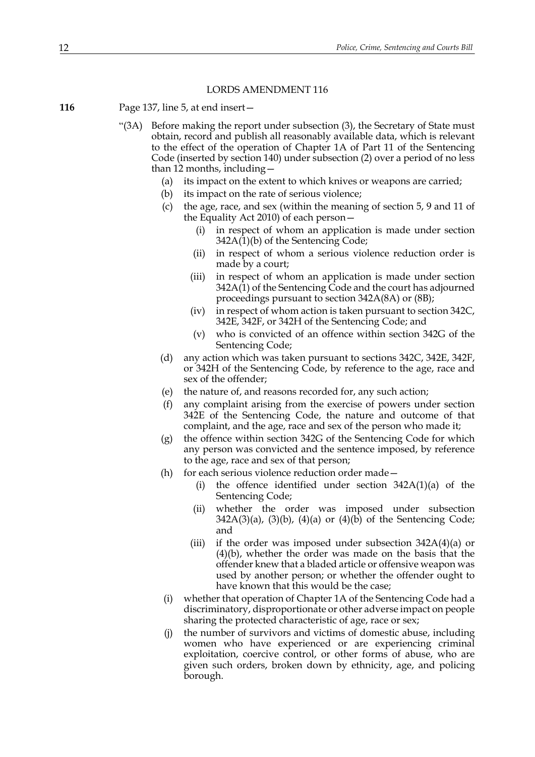#### LORDS AMENDMENT 116

- **116** Page 137, line 5, at end insert—
	- "(3A) Before making the report under subsection (3), the Secretary of State must obtain, record and publish all reasonably available data, which is relevant to the effect of the operation of Chapter 1A of Part 11 of the Sentencing Code (inserted by section 140) under subsection (2) over a period of no less than 12 months, including—
		- (a) its impact on the extent to which knives or weapons are carried;
		- (b) its impact on the rate of serious violence;
		- (c) the age, race, and sex (within the meaning of section 5, 9 and 11 of the Equality Act 2010) of each person—
			- (i) in respect of whom an application is made under section  $342A(1)(b)$  of the Sentencing Code;
			- (ii) in respect of whom a serious violence reduction order is made by a court;
			- (iii) in respect of whom an application is made under section 342A(1) of the Sentencing Code and the court has adjourned proceedings pursuant to section 342A(8A) or (8B);
			- (iv) in respect of whom action is taken pursuant to section 342C, 342E, 342F, or 342H of the Sentencing Code; and
			- (v) who is convicted of an offence within section 342G of the Sentencing Code;
		- (d) any action which was taken pursuant to sections 342C, 342E, 342F, or 342H of the Sentencing Code, by reference to the age, race and sex of the offender;
		- (e) the nature of, and reasons recorded for, any such action;
		- (f) any complaint arising from the exercise of powers under section 342E of the Sentencing Code, the nature and outcome of that complaint, and the age, race and sex of the person who made it;
		- (g) the offence within section 342G of the Sentencing Code for which any person was convicted and the sentence imposed, by reference to the age, race and sex of that person;
		- (h) for each serious violence reduction order made—
			- (i) the offence identified under section 342A(1)(a) of the Sentencing Code;
			- (ii) whether the order was imposed under subsection  $342A(3)(a)$ ,  $(3)(b)$ ,  $(4)(a)$  or  $(4)(b)$  of the Sentencing Code; and
			- (iii) if the order was imposed under subsection  $342A(4)(a)$  or (4)(b), whether the order was made on the basis that the offender knew that a bladed article or offensive weapon was used by another person; or whether the offender ought to have known that this would be the case;
		- (i) whether that operation of Chapter 1A of the Sentencing Code had a discriminatory, disproportionate or other adverse impact on people sharing the protected characteristic of age, race or sex;
		- (j) the number of survivors and victims of domestic abuse, including women who have experienced or are experiencing criminal exploitation, coercive control, or other forms of abuse, who are given such orders, broken down by ethnicity, age, and policing borough.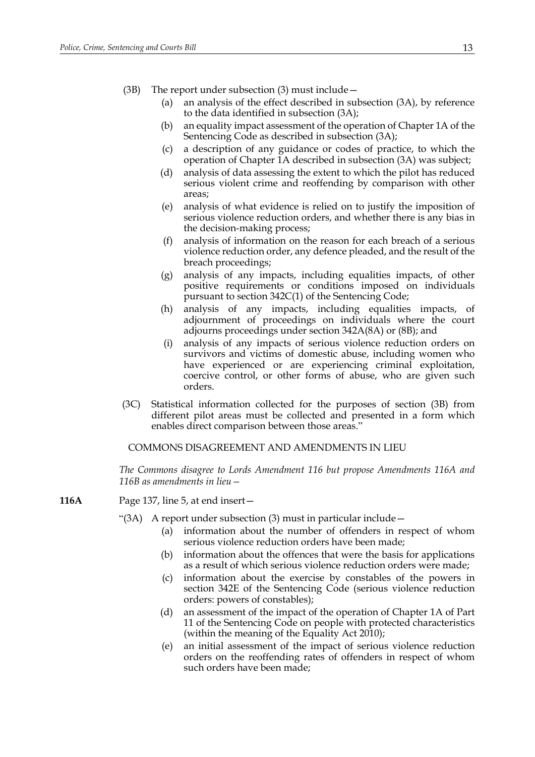- (3B) The report under subsection (3) must include—
	- (a) an analysis of the effect described in subsection (3A), by reference to the data identified in subsection (3A);
	- (b) an equality impact assessment of the operation of Chapter 1A of the Sentencing Code as described in subsection (3A);
	- (c) a description of any guidance or codes of practice, to which the operation of Chapter 1A described in subsection (3A) was subject;
	- (d) analysis of data assessing the extent to which the pilot has reduced serious violent crime and reoffending by comparison with other areas;
	- (e) analysis of what evidence is relied on to justify the imposition of serious violence reduction orders, and whether there is any bias in the decision-making process;
	- (f) analysis of information on the reason for each breach of a serious violence reduction order, any defence pleaded, and the result of the breach proceedings;
	- (g) analysis of any impacts, including equalities impacts, of other positive requirements or conditions imposed on individuals pursuant to section 342C(1) of the Sentencing Code;
	- (h) analysis of any impacts, including equalities impacts, of adjournment of proceedings on individuals where the court adjourns proceedings under section 342A(8A) or (8B); and
	- (i) analysis of any impacts of serious violence reduction orders on survivors and victims of domestic abuse, including women who have experienced or are experiencing criminal exploitation, coercive control, or other forms of abuse, who are given such orders.
- (3C) Statistical information collected for the purposes of section (3B) from different pilot areas must be collected and presented in a form which enables direct comparison between those areas."

# COMMONS DISAGREEMENT AND AMENDMENTS IN LIEU

*The Commons disagree to Lords Amendment 116 but propose Amendments 116A and 116B as amendments in lieu—*

**116A** Page 137, line 5, at end insert—

- "(3A) A report under subsection (3) must in particular include—
	- (a) information about the number of offenders in respect of whom serious violence reduction orders have been made;
	- (b) information about the offences that were the basis for applications as a result of which serious violence reduction orders were made;
	- (c) information about the exercise by constables of the powers in section 342E of the Sentencing Code (serious violence reduction orders: powers of constables);
	- (d) an assessment of the impact of the operation of Chapter 1A of Part 11 of the Sentencing Code on people with protected characteristics (within the meaning of the Equality Act 2010);
	- (e) an initial assessment of the impact of serious violence reduction orders on the reoffending rates of offenders in respect of whom such orders have been made;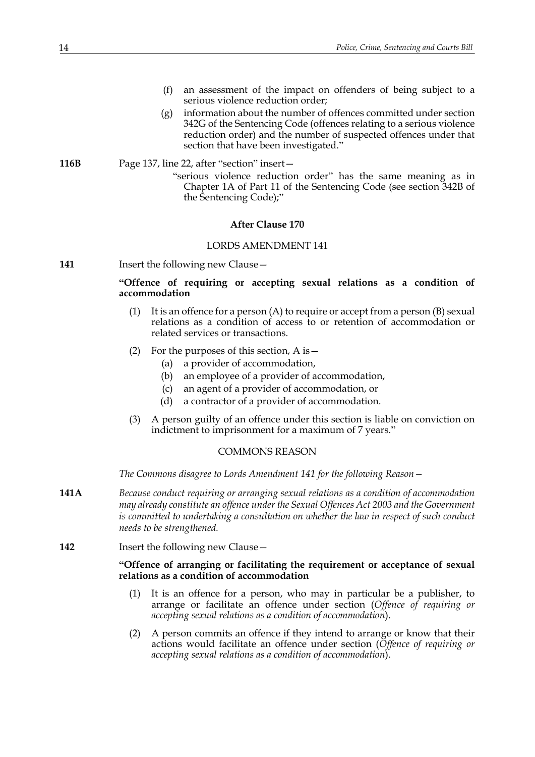- (f) an assessment of the impact on offenders of being subject to a serious violence reduction order;
- (g) information about the number of offences committed under section 342G of the Sentencing Code (offences relating to a serious violence reduction order) and the number of suspected offences under that section that have been investigated."

**116B** Page 137, line 22, after "section" insert— "serious violence reduction order" has the same meaning as in Chapter 1A of Part 11 of the Sentencing Code (see section 342B of the Sentencing Code);"

### **After Clause 170**

#### LORDS AMENDMENT 141

**141** Insert the following new Clause –

# **"Offence of requiring or accepting sexual relations as a condition of accommodation**

- (1) It is an offence for a person  $(A)$  to require or accept from a person  $(B)$  sexual relations as a condition of access to or retention of accommodation or related services or transactions.
- (2) For the purposes of this section, A is—
	- (a) a provider of accommodation,
	- (b) an employee of a provider of accommodation,
	- (c) an agent of a provider of accommodation, or
	- (d) a contractor of a provider of accommodation.
- (3) A person guilty of an offence under this section is liable on conviction on indictment to imprisonment for a maximum of 7 years."

#### COMMONS REASON

*The Commons disagree to Lords Amendment 141 for the following Reason—*

- **141A** *Because conduct requiring or arranging sexual relations as a condition of accommodation may already constitute an offence under the Sexual Offences Act 2003 and the Government is committed to undertaking a consultation on whether the law in respect of such conduct needs to be strengthened.*
- **142** Insert the following new Clause -

# **"Offence of arranging or facilitating the requirement or acceptance of sexual relations as a condition of accommodation**

- (1) It is an offence for a person, who may in particular be a publisher, to arrange or facilitate an offence under section (*Offence of requiring or accepting sexual relations as a condition of accommodation*).
- (2) A person commits an offence if they intend to arrange or know that their actions would facilitate an offence under section (*Offence of requiring or accepting sexual relations as a condition of accommodation*).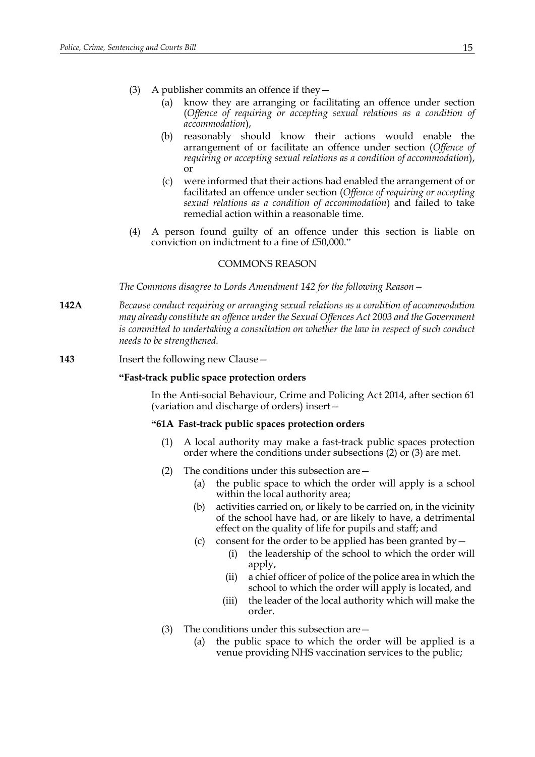- (3) A publisher commits an offence if they
	- know they are arranging or facilitating an offence under section (*Offence of requiring or accepting sexual relations as a condition of accommodation*),
	- (b) reasonably should know their actions would enable the arrangement of or facilitate an offence under section (*Offence of requiring or accepting sexual relations as a condition of accommodation*), or
	- (c) were informed that their actions had enabled the arrangement of or facilitated an offence under section (*Offence of requiring or accepting sexual relations as a condition of accommodation*) and failed to take remedial action within a reasonable time.
- (4) A person found guilty of an offence under this section is liable on conviction on indictment to a fine of £50,000."

#### COMMONS REASON

*The Commons disagree to Lords Amendment 142 for the following Reason—*

- **142A** *Because conduct requiring or arranging sexual relations as a condition of accommodation may already constitute an offence under the Sexual Offences Act 2003 and the Government is committed to undertaking a consultation on whether the law in respect of such conduct needs to be strengthened.*
- **143** Insert the following new Clause—

#### **"Fast-track public space protection orders**

 In the Anti-social Behaviour, Crime and Policing Act 2014, after section 61 (variation and discharge of orders) insert—

#### **"61A Fast-track public spaces protection orders**

- (1) A local authority may make a fast-track public spaces protection order where the conditions under subsections (2) or (3) are met.
- (2) The conditions under this subsection are—
	- (a) the public space to which the order will apply is a school within the local authority area;
	- (b) activities carried on, or likely to be carried on, in the vicinity of the school have had, or are likely to have, a detrimental effect on the quality of life for pupils and staff; and
	- (c) consent for the order to be applied has been granted by  $-$ 
		- (i) the leadership of the school to which the order will apply,
		- (ii) a chief officer of police of the police area in which the school to which the order will apply is located, and
		- (iii) the leader of the local authority which will make the order.
- (3) The conditions under this subsection are—
	- (a) the public space to which the order will be applied is a venue providing NHS vaccination services to the public;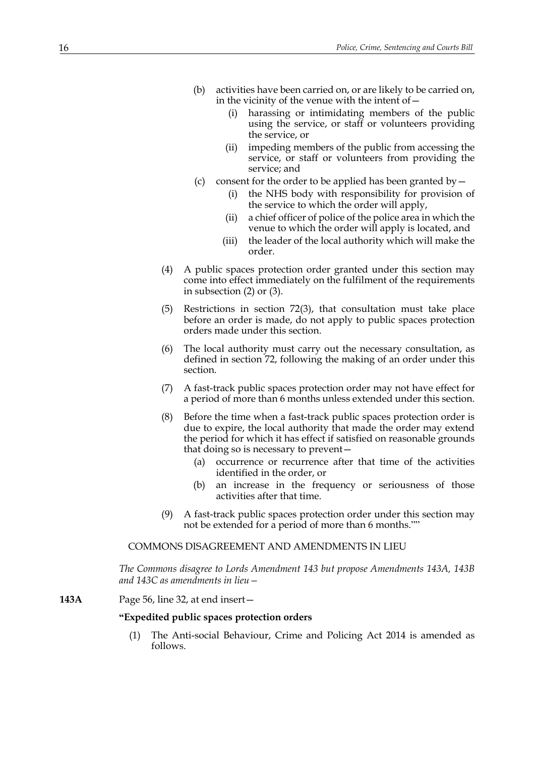- (b) activities have been carried on, or are likely to be carried on, in the vicinity of the venue with the intent of—
	- (i) harassing or intimidating members of the public using the service, or staff or volunteers providing the service, or
	- (ii) impeding members of the public from accessing the service, or staff or volunteers from providing the service; and
- (c) consent for the order to be applied has been granted by  $-$ 
	- (i) the NHS body with responsibility for provision of the service to which the order will apply,
	- (ii) a chief officer of police of the police area in which the venue to which the order will apply is located, and
	- (iii) the leader of the local authority which will make the order.
- (4) A public spaces protection order granted under this section may come into effect immediately on the fulfilment of the requirements in subsection (2) or (3).
- (5) Restrictions in section 72(3), that consultation must take place before an order is made, do not apply to public spaces protection orders made under this section.
- (6) The local authority must carry out the necessary consultation, as defined in section 72, following the making of an order under this section.
- (7) A fast-track public spaces protection order may not have effect for a period of more than 6 months unless extended under this section.
- (8) Before the time when a fast-track public spaces protection order is due to expire, the local authority that made the order may extend the period for which it has effect if satisfied on reasonable grounds that doing so is necessary to prevent—
	- (a) occurrence or recurrence after that time of the activities identified in the order, or
	- (b) an increase in the frequency or seriousness of those activities after that time.
- (9) A fast-track public spaces protection order under this section may not be extended for a period of more than 6 months.""

# COMMONS DISAGREEMENT AND AMENDMENTS IN LIEU

*The Commons disagree to Lords Amendment 143 but propose Amendments 143A, 143B and 143C as amendments in lieu—*

# **143A** Page 56, line 32, at end insert—

#### **"Expedited public spaces protection orders**

<span id="page-15-0"></span>(1) The Anti-social Behaviour, Crime and Policing Act 2014 is amended as follows.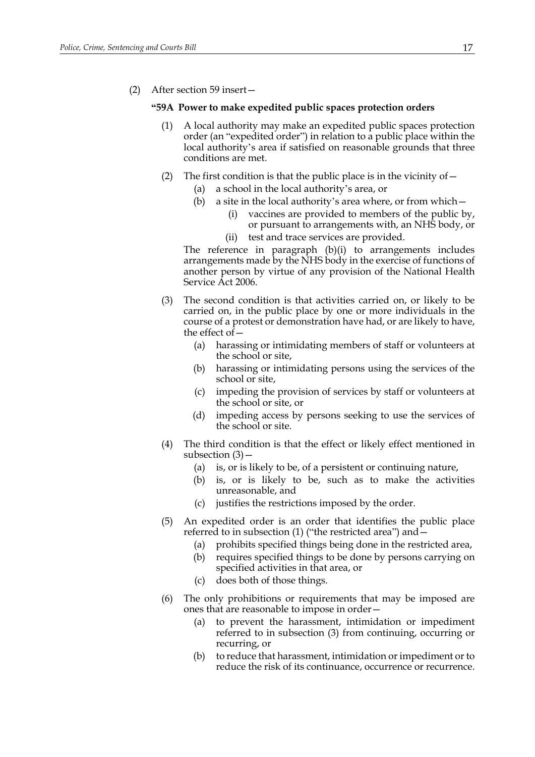<span id="page-16-1"></span>(2) After section 59 insert—

#### **"59A Power to make expedited public spaces protection orders**

- (1) A local authority may make an expedited public spaces protection order (an "expedited order") in relation to a public place within the local authority's area if satisfied on reasonable grounds that three conditions are met.
- <span id="page-16-4"></span><span id="page-16-3"></span><span id="page-16-2"></span>(2) The first condition is that the public place is in the vicinity of  $-$ 
	- (a) a school in the local authority's area, or
	- (b) a site in the local authority's area where, or from which
		- vaccines are provided to members of the public by, or pursuant to arrangements with, an NHS body, or (ii) test and trace services are provided.

The reference in paragraph (b)(i) to arrangements includes arrangements made by the NHS body in the exercise of functions of another person by virtue of any provision of the National Health Service Act 2006.

- <span id="page-16-0"></span>(3) The second condition is that activities carried on, or likely to be carried on, in the public place by one or more individuals in the course of a protest or demonstration have had, or are likely to have, the effect of—
	- (a) harassing or intimidating members of staff or volunteers at the school or site,
	- (b) harassing or intimidating persons using the services of the school or site,
	- (c) impeding the provision of services by staff or volunteers at the school or site, or
	- (d) impeding access by persons seeking to use the services of the school or site.
- (4) The third condition is that the effect or likely effect mentioned in subsection  $(3)$  –
	- (a) is, or is likely to be, of a persistent or continuing nature,
	- (b) is, or is likely to be, such as to make the activities unreasonable, and
	- (c) justifies the restrictions imposed by the order.
- <span id="page-16-7"></span><span id="page-16-6"></span><span id="page-16-5"></span>(5) An expedited order is an order that identifies the public place referred to in subsection [\(1\)](#page-16-1) ("the restricted area") and—
	- (a) prohibits specified things being done in the restricted area,
	- (b) requires specified things to be done by persons carrying on specified activities in that area, or
	- (c) does both of those things.
- (6) The only prohibitions or requirements that may be imposed are ones that are reasonable to impose in order—
	- (a) to prevent the harassment, intimidation or impediment referred to in subsection [\(3\)](#page-16-0) from continuing, occurring or recurring, or
	- (b) to reduce that harassment, intimidation or impediment or to reduce the risk of its continuance, occurrence or recurrence.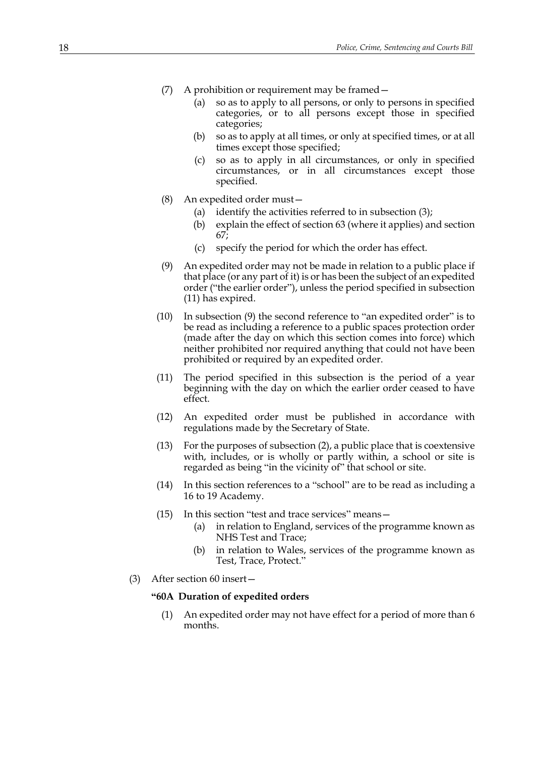- (7) A prohibition or requirement may be framed—
	- (a) so as to apply to all persons, or only to persons in specified categories, or to all persons except those in specified categories;
	- (b) so as to apply at all times, or only at specified times, or at all times except those specified;
	- (c) so as to apply in all circumstances, or only in specified circumstances, or in all circumstances except those specified.
- (8) An expedited order must—
	- (a) identify the activities referred to in subsection [\(3\);](#page-20-0)
	- (b) explain the effect of section 63 (where it applies) and section 67;
	- (c) specify the period for which the order has effect.
- <span id="page-17-1"></span>(9) An expedited order may not be made in relation to a public place if that place (or any part of it) is or has been the subject of an expedited order ("the earlier order"), unless the period specified in subsection [\(11\)](#page-17-0) has expired.
- (10) In subsection [\(9\)](#page-17-1) the second reference to "an expedited order" is to be read as including a reference to a public spaces protection order (made after the day on which this section comes into force) which neither prohibited nor required anything that could not have been prohibited or required by an expedited order.
- <span id="page-17-0"></span>(11) The period specified in this subsection is the period of a year beginning with the day on which the earlier order ceased to have effect.
- (12) An expedited order must be published in accordance with regulations made by the Secretary of State.
- (13) For the purposes of subsection [\(2\),](#page-16-2) a public place that is coextensive with, includes, or is wholly or partly within, a school or site is regarded as being "in the vicinity of" that school or site.
- (14) In this section references to a "school" are to be read as including a 16 to 19 Academy.
- (15) In this section "test and trace services" means—
	- (a) in relation to England, services of the programme known as NHS Test and Trace;
	- (b) in relation to Wales, services of the programme known as Test, Trace, Protect."
- <span id="page-17-2"></span>(3) After section 60 insert—

# **"60A Duration of expedited orders**

(1) An expedited order may not have effect for a period of more than 6 months.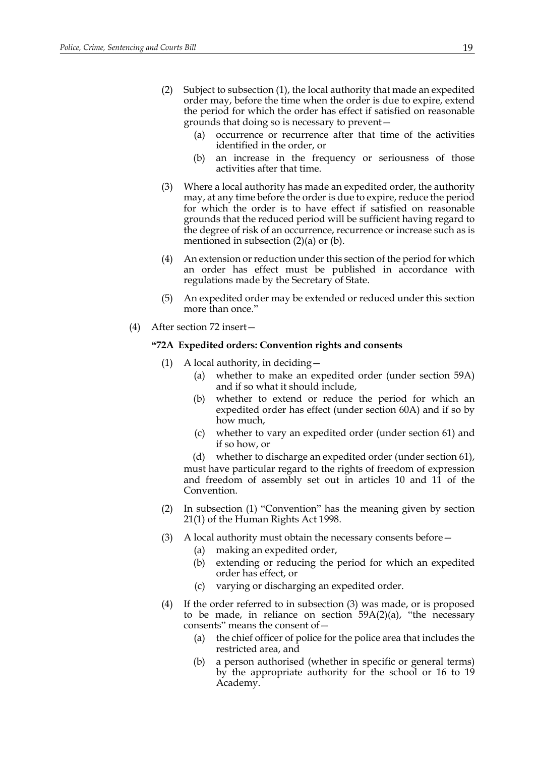- <span id="page-18-0"></span>(2) Subject to subsection [\(1\),](#page-17-2) the local authority that made an expedited order may, before the time when the order is due to expire, extend the period for which the order has effect if satisfied on reasonable grounds that doing so is necessary to prevent—
	- (a) occurrence or recurrence after that time of the activities identified in the order, or
	- (b) an increase in the frequency or seriousness of those activities after that time.
- (3) Where a local authority has made an expedited order, the authority may, at any time before the order is due to expire, reduce the period for which the order is to have effect if satisfied on reasonable grounds that the reduced period will be sufficient having regard to the degree of risk of an occurrence, recurrence or increase such as is mentioned in subsection [\(2\)\(a\)](#page-18-0) or (b).
- (4) An extension or reduction under this section of the period for which an order has effect must be published in accordance with regulations made by the Secretary of State.
- (5) An expedited order may be extended or reduced under this section more than once."
- <span id="page-18-1"></span>(4) After section 72 insert—

## **"72A Expedited orders: Convention rights and consents**

- (1) A local authority, in deciding  $-$ 
	- (a) whether to make an expedited order (under section 59A) and if so what it should include,
	- (b) whether to extend or reduce the period for which an expedited order has effect (under section 60A) and if so by how much,
	- (c) whether to vary an expedited order (under section 61) and if so how, or
	- (d) whether to discharge an expedited order (under section 61),

must have particular regard to the rights of freedom of expression and freedom of assembly set out in articles 10 and 11 of the Convention.

- (2) In subsection (1) "Convention" has the meaning given by section 21(1) of the Human Rights Act 1998.
- (3) A local authority must obtain the necessary consents before—
	- (a) making an expedited order,
	- (b) extending or reducing the period for which an expedited order has effect, or
	- (c) varying or discharging an expedited order.
- (4) If the order referred to in subsection (3) was made, or is proposed to be made, in reliance on section  $59A(2)(a)$  $59A(2)(a)$ , "the necessary consents" means the consent of—
	- (a) the chief officer of police for the police area that includes the restricted area, and
	- (b) a person authorised (whether in specific or general terms) by the appropriate authority for the school or 16 to 19 Academy.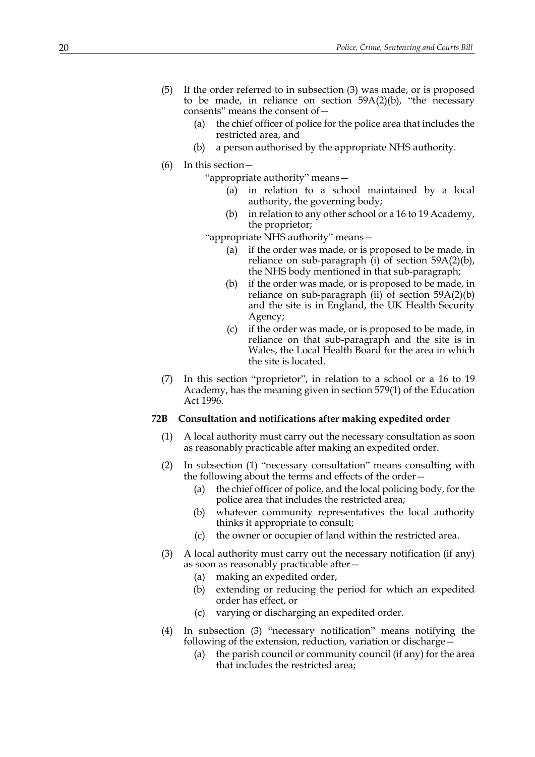- (5) If the order referred to in subsection (3) was made, or is proposed to be made, in reliance on section  $59A(2)(b)$ , "the necessary consents" means the consent of—
	- (a) the chief officer of police for the police area that includes the restricted area, and
	- (b) a person authorised by the appropriate NHS authority.
- (6) In this section—

"appropriate authority" means—

- (a) in relation to a school maintained by a local authority, the governing body;
- (b) in relation to any other school or a 16 to 19 Academy, the proprietor;

"appropriate NHS authority" means—

- (a) if the order was made, or is proposed to be made, in reliance on sub-paragraph  $(i)$  of section 59A[\(2\)\(b\),](#page-16-4) the NHS body mentioned in that sub-paragraph;
- (b) if the order was made, or is proposed to be made, in reliance on sub-paragraph (ii) of section  $59A(2)(b)$  $59A(2)(b)$ and the site is in England, the UK Health Security Agency;
- (c) if the order was made, or is proposed to be made, in reliance on that sub-paragraph and the site is in Wales, the Local Health Board for the area in which the site is located.
- (7) In this section "proprietor", in relation to a school or a 16 to 19 Academy, has the meaning given in section 579(1) of the Education Act 1996.

# **72B Consultation and notifications after making expedited order**

- (1) A local authority must carry out the necessary consultation as soon as reasonably practicable after making an expedited order.
- (2) In subsection (1) "necessary consultation" means consulting with the following about the terms and effects of the order—
	- (a) the chief officer of police, and the local policing body, for the police area that includes the restricted area;
	- (b) whatever community representatives the local authority thinks it appropriate to consult;
	- (c) the owner or occupier of land within the restricted area.
- <span id="page-19-0"></span>(3) A local authority must carry out the necessary notification (if any) as soon as reasonably practicable after—
	- (a) making an expedited order,
	- (b) extending or reducing the period for which an expedited order has effect, or
	- (c) varying or discharging an expedited order.
- (4) In subsection [\(3\)](#page-19-0) "necessary notification" means notifying the following of the extension, reduction, variation or discharge—
	- (a) the parish council or community council (if any) for the area that includes the restricted area;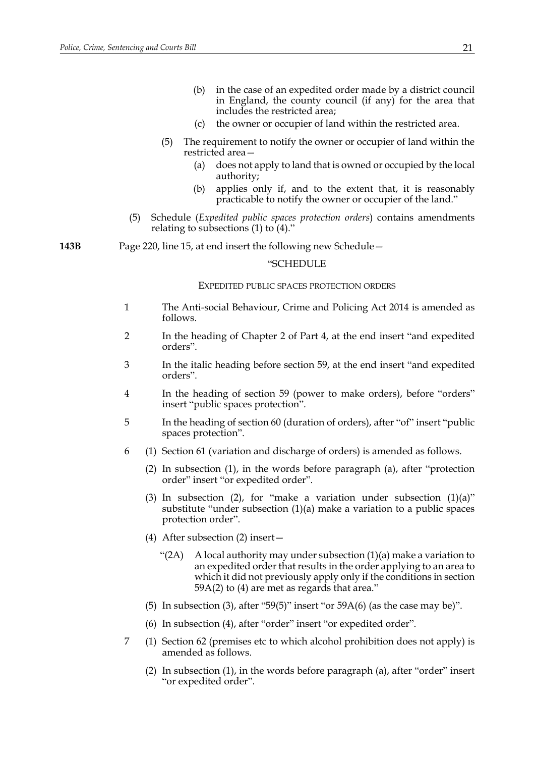- (b) in the case of an expedited order made by a district council in England, the county council (if any) for the area that includes the restricted area;
- (c) the owner or occupier of land within the restricted area.
- (5) The requirement to notify the owner or occupier of land within the restricted area—
	- (a) does not apply to land that is owned or occupied by the local authority;
	- (b) applies only if, and to the extent that, it is reasonably practicable to notify the owner or occupier of the land."
- (5) Schedule (*Expedited public spaces protection orders*) contains amendments relating to subsections  $(1)$  to  $(4)$ ."

**143B** Page 220, line 15, at end insert the following new Schedule—

#### "SCHEDULE

#### EXPEDITED PUBLIC SPACES PROTECTION ORDERS

- 1 The Anti-social Behaviour, Crime and Policing Act 2014 is amended as follows.
- 2 In the heading of Chapter 2 of Part 4, at the end insert "and expedited orders".
- <span id="page-20-0"></span>3 In the italic heading before section 59, at the end insert "and expedited orders".
- 4 In the heading of section 59 (power to make orders), before "orders" insert "public spaces protection".
- 5 In the heading of section 60 (duration of orders), after "of" insert "public spaces protection".
- 6 (1) Section 61 (variation and discharge of orders) is amended as follows.
	- (2) In subsection (1), in the words before paragraph (a), after "protection order" insert "or expedited order".
	- (3) In subsection (2), for "make a variation under subsection (1)(a)" substitute "under subsection (1)(a) make a variation to a public spaces protection order".
	- (4) After subsection (2) insert—
		- "(2A) A local authority may under subsection  $(1)(a)$  make a variation to an expedited order that results in the order applying to an area to which it did not previously apply only if the conditions in section 59A(2) to (4) are met as regards that area."
	- (5) In subsection (3), after "59(5)" insert "or  $59A(6)$  (as the case may be)".
	- (6) In subsection (4), after "order" insert "or expedited order".
- 7 (1) Section 62 (premises etc to which alcohol prohibition does not apply) is amended as follows.
	- (2) In subsection (1), in the words before paragraph (a), after "order" insert "or expedited order".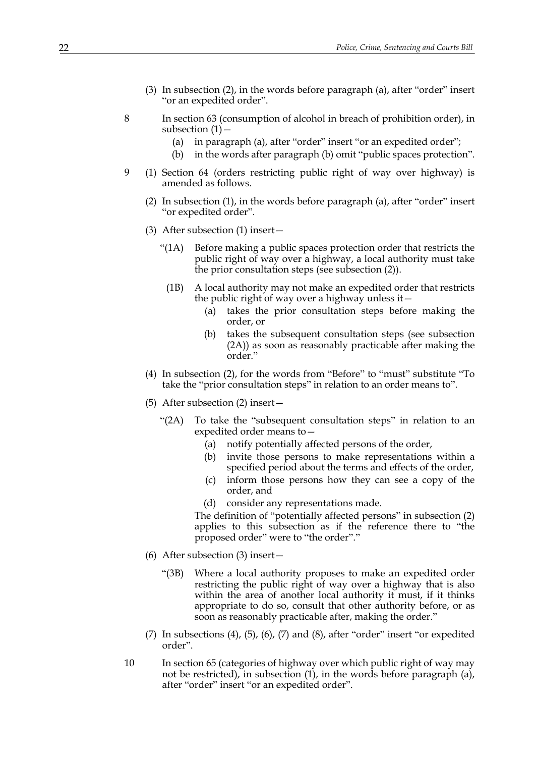- (3) In subsection (2), in the words before paragraph (a), after "order" insert "or an expedited order".
- 8 In section 63 (consumption of alcohol in breach of prohibition order), in subsection (1)—
	- (a) in paragraph (a), after "order" insert "or an expedited order";
	- (b) in the words after paragraph (b) omit "public spaces protection".
- 9 (1) Section 64 (orders restricting public right of way over highway) is amended as follows.
	- (2) In subsection (1), in the words before paragraph (a), after "order" insert "or expedited order".
	- (3) After subsection (1) insert—
		- "(1A) Before making a public spaces protection order that restricts the public right of way over a highway, a local authority must take the prior consultation steps (see subsection (2)).
		- (1B) A local authority may not make an expedited order that restricts the public right of way over a highway unless it—
			- (a) takes the prior consultation steps before making the order, or
			- (b) takes the subsequent consultation steps (see subsection (2A)) as soon as reasonably practicable after making the order."
	- (4) In subsection (2), for the words from "Before" to "must" substitute "To take the "prior consultation steps" in relation to an order means to".
	- (5) After subsection (2) insert—
		- "(2A) To take the "subsequent consultation steps" in relation to an expedited order means to—
			- (a) notify potentially affected persons of the order,
			- (b) invite those persons to make representations within a specified period about the terms and effects of the order,
			- (c) inform those persons how they can see a copy of the order, and
			- (d) consider any representations made.

The definition of "potentially affected persons" in subsection (2) applies to this subsection as if the reference there to "the proposed order" were to "the order"."

- (6) After subsection (3) insert—
	- "(3B) Where a local authority proposes to make an expedited order restricting the public right of way over a highway that is also within the area of another local authority it must, if it thinks appropriate to do so, consult that other authority before, or as soon as reasonably practicable after, making the order."
- (7) In subsections (4), (5), (6), (7) and (8), after "order" insert "or expedited order".
- 10 In section 65 (categories of highway over which public right of way may not be restricted), in subsection (1), in the words before paragraph (a), after "order" insert "or an expedited order".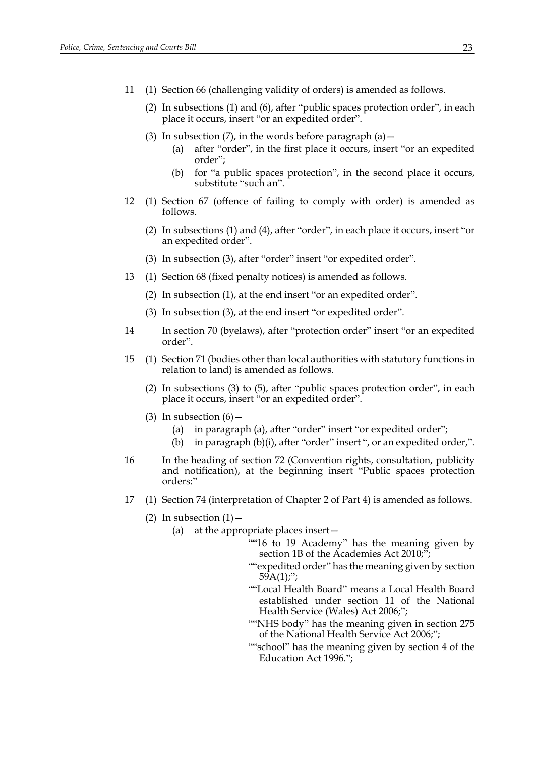- 11 (1) Section 66 (challenging validity of orders) is amended as follows.
	- (2) In subsections (1) and (6), after "public spaces protection order", in each place it occurs, insert "or an expedited order".
	- (3) In subsection (7), in the words before paragraph (a)  $-$ 
		- (a) after "order", in the first place it occurs, insert "or an expedited order";
		- (b) for "a public spaces protection", in the second place it occurs, substitute "such an".
- 12 (1) Section 67 (offence of failing to comply with order) is amended as follows.
	- (2) In subsections (1) and (4), after "order", in each place it occurs, insert "or an expedited order".
	- (3) In subsection (3), after "order" insert "or expedited order".
- 13 (1) Section 68 (fixed penalty notices) is amended as follows.
	- (2) In subsection (1), at the end insert "or an expedited order".
	- (3) In subsection (3), at the end insert "or expedited order".
- 14 In section 70 (byelaws), after "protection order" insert "or an expedited order".
- 15 (1) Section 71 (bodies other than local authorities with statutory functions in relation to land) is amended as follows.
	- (2) In subsections (3) to (5), after "public spaces protection order", in each place it occurs, insert "or an expedited order".
	- (3) In subsection  $(6)$ 
		- (a) in paragraph (a), after "order" insert "or expedited order";
		- (b) in paragraph  $(b)(i)$ , after "order" insert ", or an expedited order,".
- 16 In the heading of section 72 (Convention rights, consultation, publicity and notification), at the beginning insert "Public spaces protection orders:"
- 17 (1) Section 74 (interpretation of Chapter 2 of Part 4) is amended as follows.
	- (2) In subsection  $(1)$ 
		- (a) at the appropriate places insert—
			- ""16 to 19 Academy" has the meaning given by section 1B of the Academies Act 2010;";
			- ""expedited order" has the meaning given by section  $59A(1)$ ;";
			- ""Local Health Board" means a Local Health Board established under section 11 of the National Health Service (Wales) Act 2006;";
			- ""NHS body" has the meaning given in section 275 of the National Health Service Act 2006;";
			- ""school" has the meaning given by section 4 of the Education Act 1996.";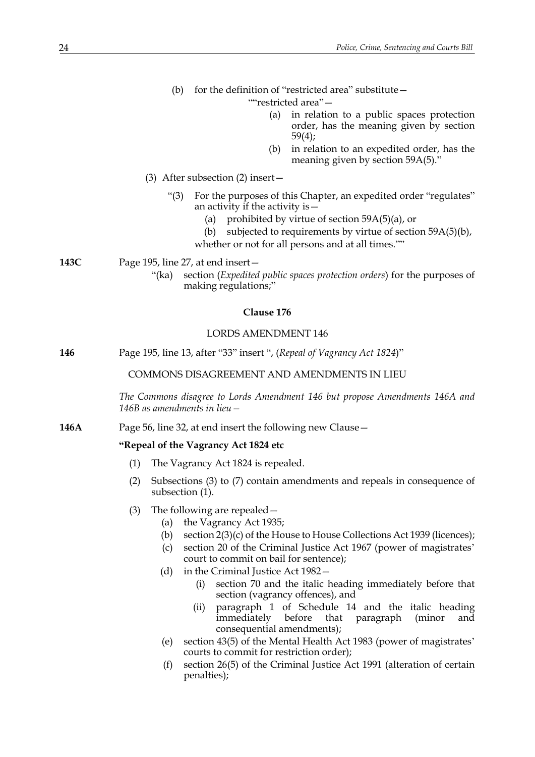<span id="page-23-1"></span><span id="page-23-0"></span>

|      |                                                                        | for the definition of "restricted area" substitute –<br>(b)                                                                                                                                                                                                                                                                                                                                                                                                                                                                                                                                                                                                 |  |
|------|------------------------------------------------------------------------|-------------------------------------------------------------------------------------------------------------------------------------------------------------------------------------------------------------------------------------------------------------------------------------------------------------------------------------------------------------------------------------------------------------------------------------------------------------------------------------------------------------------------------------------------------------------------------------------------------------------------------------------------------------|--|
|      |                                                                        | ""restricted area"-                                                                                                                                                                                                                                                                                                                                                                                                                                                                                                                                                                                                                                         |  |
|      |                                                                        | in relation to a public spaces protection<br>(a)<br>order, has the meaning given by section<br>59(4);                                                                                                                                                                                                                                                                                                                                                                                                                                                                                                                                                       |  |
|      |                                                                        | in relation to an expedited order, has the<br>(b)<br>meaning given by section 59A(5)."                                                                                                                                                                                                                                                                                                                                                                                                                                                                                                                                                                      |  |
|      |                                                                        | (3) After subsection (2) insert $-$                                                                                                                                                                                                                                                                                                                                                                                                                                                                                                                                                                                                                         |  |
|      |                                                                        | For the purposes of this Chapter, an expedited order "regulates"<br>"(3)<br>an activity if the activity is $-$<br>prohibited by virtue of section $59A(5)(a)$ , or<br>(a)<br>subjected to requirements by virtue of section 59A(5)(b),<br>(b)                                                                                                                                                                                                                                                                                                                                                                                                               |  |
|      |                                                                        | whether or not for all persons and at all times.""                                                                                                                                                                                                                                                                                                                                                                                                                                                                                                                                                                                                          |  |
|      |                                                                        |                                                                                                                                                                                                                                                                                                                                                                                                                                                                                                                                                                                                                                                             |  |
| 143C |                                                                        | Page 195, line 27, at end insert -<br>"(ka)<br>section (Expedited public spaces protection orders) for the purposes of<br>making regulations;"                                                                                                                                                                                                                                                                                                                                                                                                                                                                                                              |  |
|      |                                                                        | Clause 176                                                                                                                                                                                                                                                                                                                                                                                                                                                                                                                                                                                                                                                  |  |
|      |                                                                        | <b>LORDS AMENDMENT 146</b>                                                                                                                                                                                                                                                                                                                                                                                                                                                                                                                                                                                                                                  |  |
| 146  | Page 195, line 13, after "33" insert ", (Repeal of Vagrancy Act 1824)" |                                                                                                                                                                                                                                                                                                                                                                                                                                                                                                                                                                                                                                                             |  |
|      |                                                                        | COMMONS DISAGREEMENT AND AMENDMENTS IN LIEU                                                                                                                                                                                                                                                                                                                                                                                                                                                                                                                                                                                                                 |  |
|      |                                                                        | The Commons disagree to Lords Amendment 146 but propose Amendments 146A and<br>146B as amendments in lieu –                                                                                                                                                                                                                                                                                                                                                                                                                                                                                                                                                 |  |
| 146A | Page 56, line 32, at end insert the following new Clause -             |                                                                                                                                                                                                                                                                                                                                                                                                                                                                                                                                                                                                                                                             |  |
|      |                                                                        | "Repeal of the Vagrancy Act 1824 etc                                                                                                                                                                                                                                                                                                                                                                                                                                                                                                                                                                                                                        |  |
|      | (1)                                                                    | The Vagrancy Act 1824 is repealed.                                                                                                                                                                                                                                                                                                                                                                                                                                                                                                                                                                                                                          |  |
|      | (2)                                                                    | Subsections $(3)$ to $(7)$ contain amendments and repeals in consequence of<br>subsection (1).                                                                                                                                                                                                                                                                                                                                                                                                                                                                                                                                                              |  |
|      | (3)                                                                    | The following are repealed –<br>the Vagrancy Act 1935;<br>(a)<br>section $2(3)(c)$ of the House to House Collections Act 1939 (licences);<br>(b)<br>section 20 of the Criminal Justice Act 1967 (power of magistrates'<br>(c)<br>court to commit on bail for sentence);<br>in the Criminal Justice Act 1982-<br>(d)<br>section 70 and the italic heading immediately before that<br>(i)<br>section (vagrancy offences), and<br>paragraph 1 of Schedule 14 and the italic heading<br>(ii)<br>before<br>immediately<br>that<br>paragraph<br>(minor<br>and<br>consequential amendments);<br>section 43(5) of the Mental Health Act 1983 (power of magistrates' |  |
|      |                                                                        | (e)<br>courts to commit for restriction order);                                                                                                                                                                                                                                                                                                                                                                                                                                                                                                                                                                                                             |  |
|      |                                                                        | section 26(5) of the Criminal Justice Act 1991 (alteration of certain<br>(f)<br>penalties);                                                                                                                                                                                                                                                                                                                                                                                                                                                                                                                                                                 |  |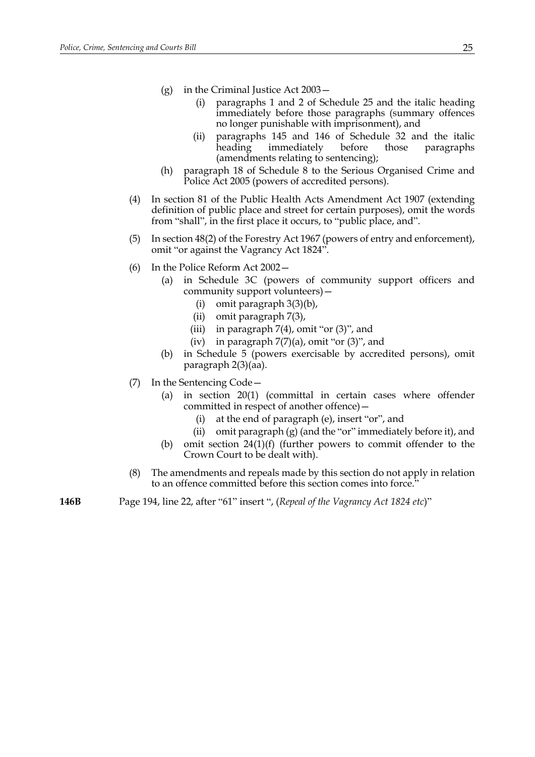- (g) in the Criminal Justice Act 2003—
	- (i) paragraphs 1 and 2 of Schedule 25 and the italic heading immediately before those paragraphs (summary offences no longer punishable with imprisonment), and
	- (ii) paragraphs 145 and 146 of Schedule 32 and the italic heading immediately before those paragraphs (amendments relating to sentencing);
- (h) paragraph 18 of Schedule 8 to the Serious Organised Crime and Police Act 2005 (powers of accredited persons).
- (4) In section 81 of the Public Health Acts Amendment Act 1907 (extending definition of public place and street for certain purposes), omit the words from "shall", in the first place it occurs, to "public place, and".
- (5) In section 48(2) of the Forestry Act 1967 (powers of entry and enforcement), omit "or against the Vagrancy Act 1824".
- (6) In the Police Reform Act 2002—
	- (a) in Schedule 3C (powers of community support officers and community support volunteers)—
		- (i) omit paragraph 3(3)(b),
		- (ii) omit paragraph 7(3),
		- (iii) in paragraph  $7(4)$ , omit "or  $(3)$ ", and
		- (iv) in paragraph  $7(7)(a)$ , omit "or  $(3)$ ", and
	- (b) in Schedule 5 (powers exercisable by accredited persons), omit paragraph 2(3)(aa).
- <span id="page-24-0"></span>(7) In the Sentencing Code—
	- (a) in section 20(1) (committal in certain cases where offender committed in respect of another offence)—
		- (i) at the end of paragraph (e), insert "or", and
		- (ii) omit paragraph (g) (and the "or" immediately before it), and
	- (b) omit section 24(1)(f) (further powers to commit offender to the Crown Court to be dealt with).
- (8) The amendments and repeals made by this section do not apply in relation to an offence committed before this section comes into force.'
- **146B** Page 194, line 22, after "61" insert ", (*Repeal of the Vagrancy Act 1824 etc*)"